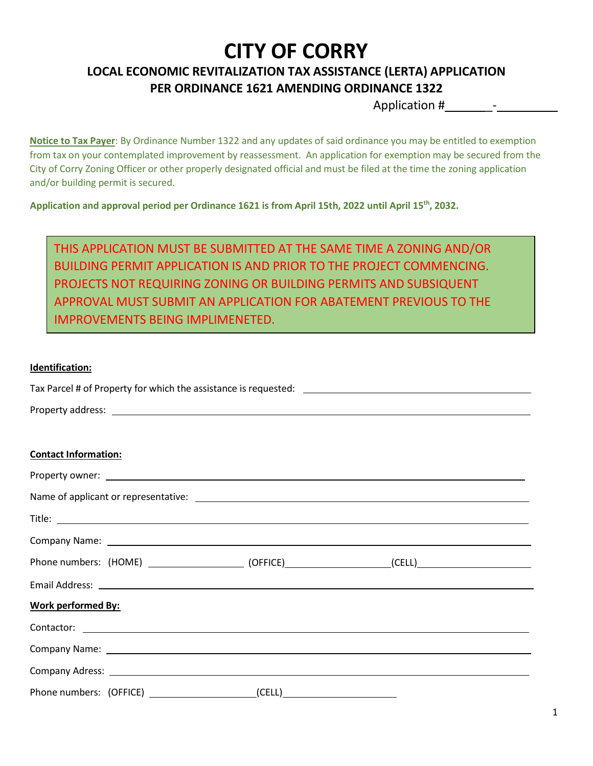### **LOCAL ECONOMIC REVITALIZATION TAX ASSISTANCE (LERTA) APPLICATION PER ORDINANCE 1621 AMENDING ORDINANCE 1322**

Application #  $-$ 

**Notice to Tax Payer**: By Ordinance Number 1322 and any updates of said ordinance you may be entitled to exemption from tax on your contemplated improvement by reassessment. An application for exemption may be secured from the City of Corry Zoning Officer or other properly designated official and must be filed at the time the zoning application and/or building permit is secured.

**Application and approval period per Ordinance 1621 is from April 15th, 2022 until April 15th, 2032.**

THIS APPLICATION MUST BE SUBMITTED AT THE SAME TIME A ZONING AND/OR BUILDING PERMIT APPLICATION IS AND PRIOR TO THE PROJECT COMMENCING. PROJECTS NOT REQUIRING ZONING OR BUILDING PERMITS AND SUBSIQUENT APPROVAL MUST SUBMIT AN APPLICATION FOR ABATEMENT PREVIOUS TO THE IMPROVEMENTS BEING IMPLIMENETED.

#### **Identification:**

| <b>Contact Information:</b>                                                                          |
|------------------------------------------------------------------------------------------------------|
|                                                                                                      |
|                                                                                                      |
|                                                                                                      |
|                                                                                                      |
| Phone numbers: (HOME) ____________________(OFFICE)__________________(CELL)__________________________ |
|                                                                                                      |
| <b>Work performed By:</b>                                                                            |
|                                                                                                      |
|                                                                                                      |

| <b>Company Adress:</b> |  |
|------------------------|--|
|                        |  |

Phone numbers: (OFFICE) \_\_\_\_\_\_\_\_\_\_\_\_\_\_\_\_\_\_\_\_\_\_\_(CELL)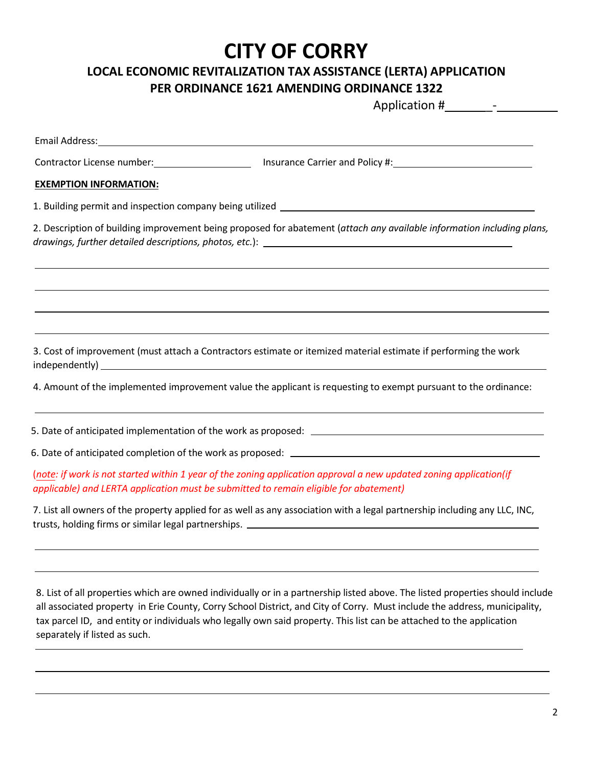#### **LOCAL ECONOMIC REVITALIZATION TAX ASSISTANCE (LERTA) APPLICATION PER ORDINANCE 1621 AMENDING ORDINANCE 1322**

Application # \_-

| Email Address: 1988 and 2008 and 2008 and 2008 and 2008 and 2008 and 2008 and 2008 and 2008 and 200 |                                                                                                                                                                                                                                                                                                                                                                                    |
|-----------------------------------------------------------------------------------------------------|------------------------------------------------------------------------------------------------------------------------------------------------------------------------------------------------------------------------------------------------------------------------------------------------------------------------------------------------------------------------------------|
|                                                                                                     |                                                                                                                                                                                                                                                                                                                                                                                    |
| <b>EXEMPTION INFORMATION:</b>                                                                       |                                                                                                                                                                                                                                                                                                                                                                                    |
|                                                                                                     |                                                                                                                                                                                                                                                                                                                                                                                    |
|                                                                                                     | 2. Description of building improvement being proposed for abatement (attach any available information including plans,                                                                                                                                                                                                                                                             |
|                                                                                                     |                                                                                                                                                                                                                                                                                                                                                                                    |
|                                                                                                     | 3. Cost of improvement (must attach a Contractors estimate or itemized material estimate if performing the work                                                                                                                                                                                                                                                                    |
|                                                                                                     | 4. Amount of the implemented improvement value the applicant is requesting to exempt pursuant to the ordinance:                                                                                                                                                                                                                                                                    |
|                                                                                                     |                                                                                                                                                                                                                                                                                                                                                                                    |
|                                                                                                     |                                                                                                                                                                                                                                                                                                                                                                                    |
| applicable) and LERTA application must be submitted to remain eligible for abatement)               | (note: if work is not started within 1 year of the zoning application approval a new updated zoning application(if                                                                                                                                                                                                                                                                 |
|                                                                                                     | 7. List all owners of the property applied for as well as any association with a legal partnership including any LLC, INC,                                                                                                                                                                                                                                                         |
|                                                                                                     |                                                                                                                                                                                                                                                                                                                                                                                    |
| separately if listed as such.                                                                       | 8. List of all properties which are owned individually or in a partnership listed above. The listed properties should include<br>all associated property in Erie County, Corry School District, and City of Corry. Must include the address, municipality,<br>tax parcel ID, and entity or individuals who legally own said property. This list can be attached to the application |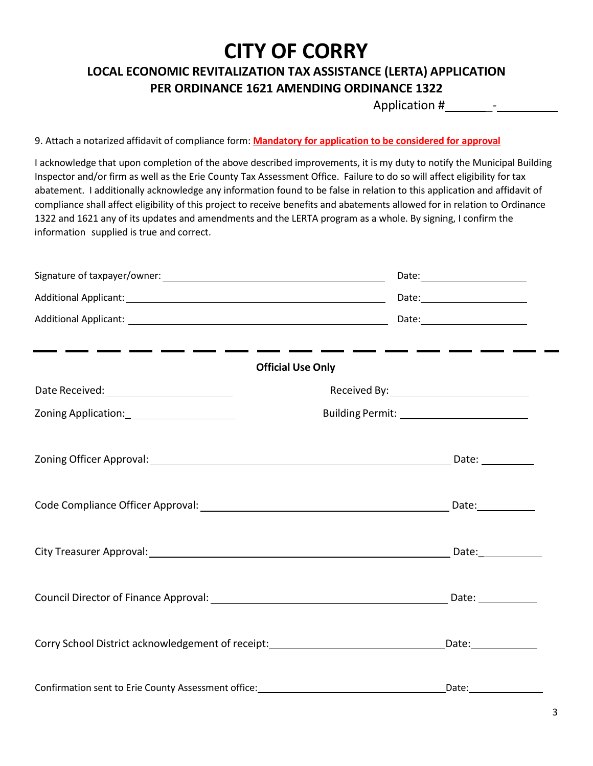#### **LOCAL ECONOMIC REVITALIZATION TAX ASSISTANCE (LERTA) APPLICATION PER ORDINANCE 1621 AMENDING ORDINANCE 1322**

Application #  $-$ 

9. Attach a notarized affidavit of compliance form: **Mandatory for application to be considered for approval**

I acknowledge that upon completion of the above described improvements, it is my duty to notify the Municipal Building Inspector and/or firm as well as the Erie County Tax Assessment Office. Failure to do so will affect eligibility for tax abatement. I additionally acknowledge any information found to be false in relation to this application and affidavit of compliance shall affect eligibility of this project to receive benefits and abatements allowed for in relation to Ordinance 1322 and 1621 any of its updates and amendments and the LERTA program as a whole. By signing, I confirm the information supplied is true and correct.

|                                                                                  | <b>Official Use Only</b>                       |
|----------------------------------------------------------------------------------|------------------------------------------------|
| Date Received: _________________________                                         | Received By: _________________________________ |
|                                                                                  | Building Permit: ____________________________  |
|                                                                                  |                                                |
|                                                                                  |                                                |
|                                                                                  |                                                |
|                                                                                  |                                                |
| Corry School District acknowledgement of receipt:_______________________________ |                                                |
| Confirmation sent to Erie County Assessment office:                              | Date:                                          |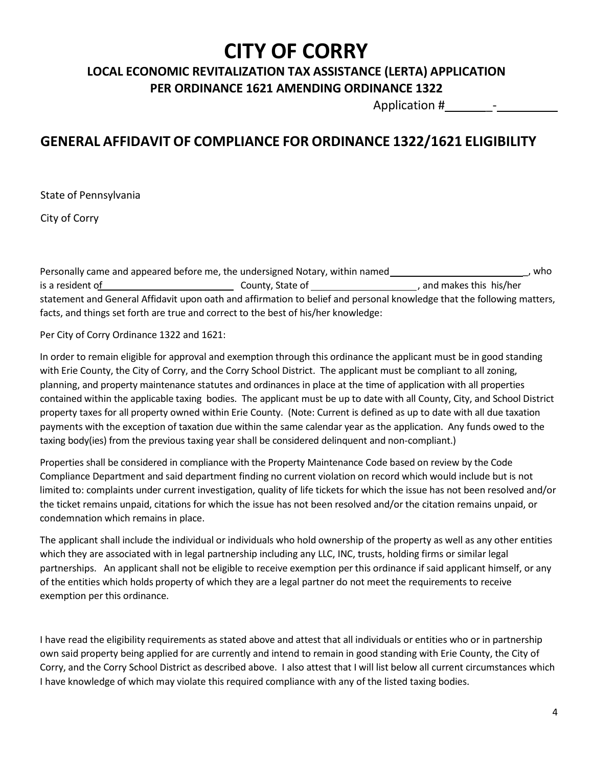### **LOCAL ECONOMIC REVITALIZATION TAX ASSISTANCE (LERTA) APPLICATION PER ORDINANCE 1621 AMENDING ORDINANCE 1322**

Application #  $-$ 

### **GENERAL AFFIDAVIT OF COMPLIANCE FOR ORDINANCE 1322/1621 ELIGIBILITY**

State of Pennsylvania

City of Corry

\_, who Personally came and appeared before me, the undersigned Notary, within named is a resident of **County, State of County, State of County**, and makes this his/her statement and General Affidavit upon oath and affirmation to belief and personal knowledge that the following matters, facts, and things set forth are true and correct to the best of his/her knowledge:

Per City of Corry Ordinance 1322 and 1621:

In order to remain eligible for approval and exemption through this ordinance the applicant must be in good standing with Erie County, the City of Corry, and the Corry School District. The applicant must be compliant to all zoning, planning, and property maintenance statutes and ordinances in place at the time of application with all properties contained within the applicable taxing bodies. The applicant must be up to date with all County, City, and School District property taxes for all property owned within Erie County. (Note: Current is defined as up to date with all due taxation payments with the exception of taxation due within the same calendar year as the application. Any funds owed to the taxing body(ies) from the previous taxing year shall be considered delinquent and non-compliant.)

Properties shall be considered in compliance with the Property Maintenance Code based on review by the Code Compliance Department and said department finding no current violation on record which would include but is not limited to: complaints under current investigation, quality of life tickets for which the issue has not been resolved and/or the ticket remains unpaid, citations for which the issue has not been resolved and/or the citation remains unpaid, or condemnation which remains in place.

The applicant shall include the individual or individuals who hold ownership of the property as well as any other entities which they are associated with in legal partnership including any LLC, INC, trusts, holding firms or similar legal partnerships. An applicant shall not be eligible to receive exemption per this ordinance if said applicant himself, or any of the entities which holds property of which they are a legal partner do not meet the requirements to receive exemption per this ordinance.

I have read the eligibility requirements as stated above and attest that all individuals or entities who or in partnership own said property being applied for are currently and intend to remain in good standing with Erie County, the City of Corry, and the Corry School District as described above. I also attest that I will list below all current circumstances which I have knowledge of which may violate this required compliance with any of the listed taxing bodies.